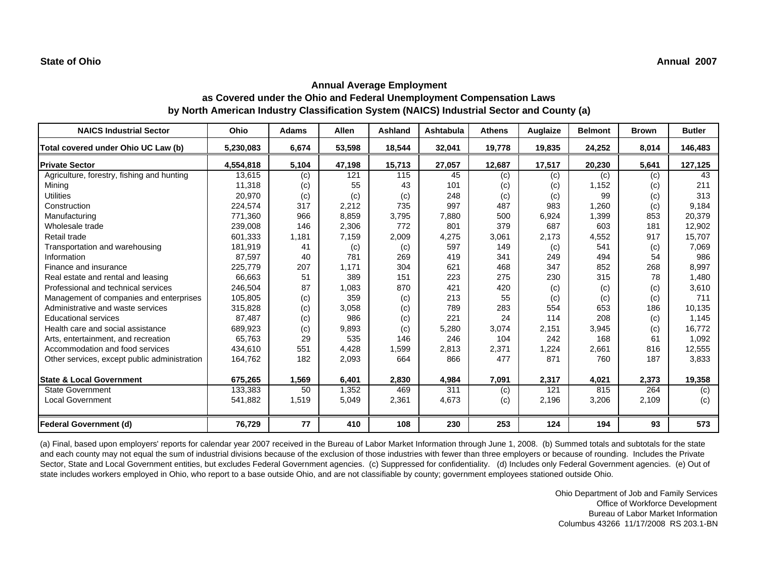| <b>NAICS Industrial Sector</b>               | Ohio      | <b>Adams</b> | <b>Allen</b> | <b>Ashland</b> | <b>Ashtabula</b> | <b>Athens</b> | Auglaize | <b>Belmont</b> | <b>Brown</b> | <b>Butler</b> |
|----------------------------------------------|-----------|--------------|--------------|----------------|------------------|---------------|----------|----------------|--------------|---------------|
| Total covered under Ohio UC Law (b)          | 5,230,083 | 6,674        | 53,598       | 18,544         | 32,041           | 19,778        | 19,835   | 24,252         | 8,014        | 146,483       |
| <b>Private Sector</b>                        | 4,554,818 | 5,104        | 47,198       | 15,713         | 27,057           | 12,687        | 17,517   | 20,230         | 5,641        | 127,125       |
| Agriculture, forestry, fishing and hunting   | 13,615    | (c)          | 121          | 115            | 45               | (c)           | (c)      | (c)            | (c)          | 43            |
| Mining                                       | 11,318    | (c)          | 55           | 43             | 101              | (c)           | (c)      | 1,152          | (c)          | 211           |
| <b>Utilities</b>                             | 20,970    | (c)          | (c)          | (c)            | 248              | (c)           | (c)      | 99             | (c)          | 313           |
| Construction                                 | 224,574   | 317          | 2,212        | 735            | 997              | 487           | 983      | 1,260          | (c)          | 9,184         |
| Manufacturing                                | 771,360   | 966          | 8,859        | 3,795          | 7,880            | 500           | 6,924    | 1,399          | 853          | 20.379        |
| Wholesale trade                              | 239,008   | 146          | 2,306        | 772            | 801              | 379           | 687      | 603            | 181          | 12,902        |
| Retail trade                                 | 601,333   | 1,181        | 7,159        | 2,009          | 4,275            | 3,061         | 2,173    | 4,552          | 917          | 15,707        |
| Transportation and warehousing               | 181,919   | 41           | (c)          | (c)            | 597              | 149           | (c)      | 541            | (c)          | 7,069         |
| Information                                  | 87,597    | 40           | 781          | 269            | 419              | 341           | 249      | 494            | 54           | 986           |
| Finance and insurance                        | 225,779   | 207          | 1.171        | 304            | 621              | 468           | 347      | 852            | 268          | 8,997         |
| Real estate and rental and leasing           | 66,663    | 51           | 389          | 151            | 223              | 275           | 230      | 315            | 78           | 1,480         |
| Professional and technical services          | 246,504   | 87           | 1,083        | 870            | 421              | 420           | (c)      | (c)            | (c)          | 3,610         |
| Management of companies and enterprises      | 105,805   | (c)          | 359          | (c)            | 213              | 55            | (c)      | (c)            | (c)          | 711           |
| Administrative and waste services            | 315,828   | (c)          | 3,058        | (c)            | 789              | 283           | 554      | 653            | 186          | 10,135        |
| <b>Educational services</b>                  | 87,487    | (c)          | 986          | (c)            | 221              | 24            | 114      | 208            | (c)          | 1,145         |
| Health care and social assistance            | 689,923   | (c)          | 9,893        | (c)            | 5,280            | 3,074         | 2,151    | 3,945          | (c)          | 16,772        |
| Arts, entertainment, and recreation          | 65,763    | 29           | 535          | 146            | 246              | 104           | 242      | 168            | 61           | 1,092         |
| Accommodation and food services              | 434,610   | 551          | 4,428        | 1,599          | 2,813            | 2,371         | 1,224    | 2,661          | 816          | 12,555        |
| Other services, except public administration | 164,762   | 182          | 2,093        | 664            | 866              | 477           | 871      | 760            | 187          | 3,833         |
| <b>State &amp; Local Government</b>          | 675,265   | 1,569        | 6,401        | 2,830          | 4,984            | 7,091         | 2,317    | 4,021          | 2,373        | 19,358        |
| <b>State Government</b>                      | 133,383   | 50           | 1,352        | 469            | 311              | (c)           | 121      | 815            | 264          | (c)           |
| <b>Local Government</b>                      | 541,882   | 1,519        | 5,049        | 2,361          | 4,673            | (c)           | 2,196    | 3,206          | 2,109        | (c)           |
| Federal Government (d)                       | 76,729    | 77           | 410          | 108            | 230              | 253           | 124      | 194            | 93           | 573           |

(a) Final, based upon employers' reports for calendar year 2007 received in the Bureau of Labor Market Information through June 1, 2008. (b) Summed totals and subtotals for the state and each county may not equal the sum of industrial divisions because of the exclusion of those industries with fewer than three employers or because of rounding. Includes the Private Sector, State and Local Government entities, but excludes Federal Government agencies. (c) Suppressed for confidentiality. (d) Includes only Federal Government agencies. (e) Out of state includes workers employed in Ohio, who report to a base outside Ohio, and are not classifiable by county; government employees stationed outside Ohio.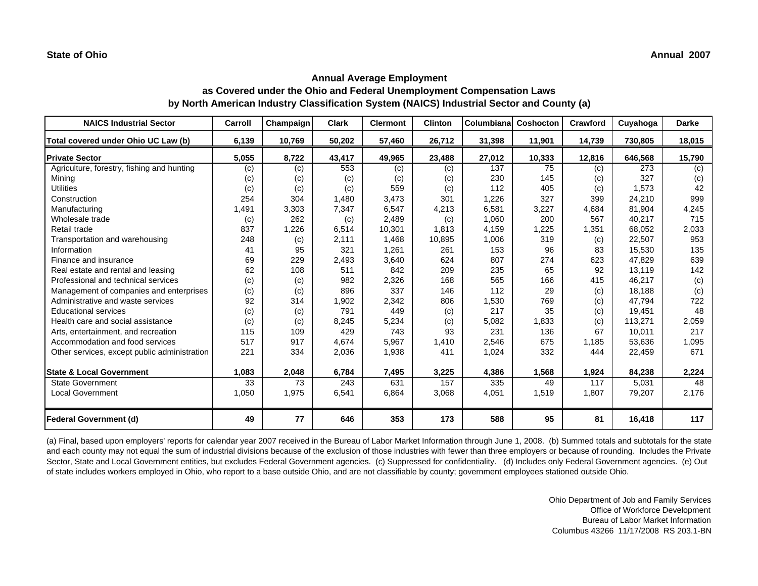| <b>NAICS Industrial Sector</b>               | Carroll | Champaign | <b>Clark</b> | <b>Clermont</b> | <b>Clinton</b> | <b>Columbiana</b> | Coshocton | Crawford | Cuyahoga | <b>Darke</b> |
|----------------------------------------------|---------|-----------|--------------|-----------------|----------------|-------------------|-----------|----------|----------|--------------|
| Total covered under Ohio UC Law (b)          | 6,139   | 10,769    | 50,202       | 57,460          | 26,712         | 31,398            | 11,901    | 14,739   | 730,805  | 18,015       |
| <b>Private Sector</b>                        | 5,055   | 8,722     | 43,417       | 49,965          | 23,488         | 27,012            | 10,333    | 12,816   | 646,568  | 15,790       |
| Agriculture, forestry, fishing and hunting   | (c)     | (c)       | 553          | (c)             | (c)            | 137               | 75        | (c)      | 273      | (c)          |
| Mining                                       | (c)     | (c)       | (c)          | (c)             | (c)            | 230               | 145       | (c)      | 327      | (c)          |
| <b>Utilities</b>                             | (c)     | (c)       | (c)          | 559             | (c)            | 112               | 405       | (c)      | 1,573    | 42           |
| Construction                                 | 254     | 304       | 1,480        | 3,473           | 301            | 1,226             | 327       | 399      | 24,210   | 999          |
| Manufacturing                                | 1,491   | 3,303     | 7,347        | 6,547           | 4,213          | 6,581             | 3,227     | 4,684    | 81,904   | 4,245        |
| Wholesale trade                              | (c)     | 262       | (c)          | 2,489           | (c)            | 1,060             | 200       | 567      | 40,217   | 715          |
| Retail trade                                 | 837     | 1,226     | 6,514        | 10,301          | 1,813          | 4,159             | 1,225     | 1,351    | 68,052   | 2,033        |
| Transportation and warehousing               | 248     | (c)       | 2,111        | 1,468           | 10,895         | 1,006             | 319       | (c)      | 22,507   | 953          |
| Information                                  | 41      | 95        | 321          | 1,261           | 261            | 153               | 96        | 83       | 15,530   | 135          |
| Finance and insurance                        | 69      | 229       | 2,493        | 3,640           | 624            | 807               | 274       | 623      | 47,829   | 639          |
| Real estate and rental and leasing           | 62      | 108       | 511          | 842             | 209            | 235               | 65        | 92       | 13,119   | 142          |
| Professional and technical services          | (c)     | (c)       | 982          | 2,326           | 168            | 565               | 166       | 415      | 46,217   | (c)          |
| Management of companies and enterprises      | (c)     | (c)       | 896          | 337             | 146            | 112               | 29        | (c)      | 18,188   | (c)          |
| Administrative and waste services            | 92      | 314       | 1,902        | 2,342           | 806            | 1,530             | 769       | (c)      | 47,794   | 722          |
| Educational services                         | (c)     | (c)       | 791          | 449             | (c)            | 217               | 35        | (c)      | 19,451   | 48           |
| Health care and social assistance            | (c)     | (c)       | 8,245        | 5,234           | (c)            | 5,082             | 1,833     | (c)      | 113,271  | 2,059        |
| Arts, entertainment, and recreation          | 115     | 109       | 429          | 743             | 93             | 231               | 136       | 67       | 10,011   | 217          |
| Accommodation and food services              | 517     | 917       | 4,674        | 5,967           | 1,410          | 2,546             | 675       | 1,185    | 53,636   | 1,095        |
| Other services, except public administration | 221     | 334       | 2,036        | 1,938           | 411            | 1,024             | 332       | 444      | 22,459   | 671          |
|                                              |         |           |              |                 |                |                   |           |          |          |              |
| <b>State &amp; Local Government</b>          | 1,083   | 2,048     | 6,784        | 7,495           | 3,225          | 4,386             | 1,568     | 1,924    | 84,238   | 2,224        |
| <b>State Government</b>                      | 33      | 73        | 243          | 631             | 157            | 335               | 49        | 117      | 5,031    | 48           |
| <b>Local Government</b>                      | 1,050   | 1,975     | 6,541        | 6,864           | 3,068          | 4,051             | 1,519     | 1,807    | 79,207   | 2,176        |
|                                              |         |           |              |                 |                |                   |           |          |          |              |
| <b>Federal Government (d)</b>                | 49      | 77        | 646          | 353             | 173            | 588               | 95        | 81       | 16,418   | 117          |

(a) Final, based upon employers' reports for calendar year 2007 received in the Bureau of Labor Market Information through June 1, 2008. (b) Summed totals and subtotals for the state and each county may not equal the sum of industrial divisions because of the exclusion of those industries with fewer than three employers or because of rounding. Includes the Private Sector, State and Local Government entities, but excludes Federal Government agencies. (c) Suppressed for confidentiality. (d) Includes only Federal Government agencies. (e) Out of state includes workers employed in Ohio, who report to a base outside Ohio, and are not classifiable by county; government employees stationed outside Ohio.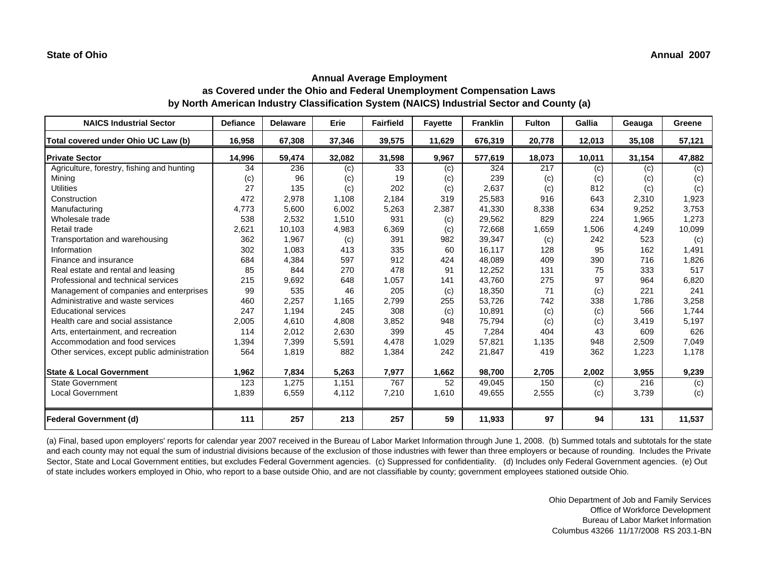| <b>NAICS Industrial Sector</b>               | <b>Defiance</b> | <b>Delaware</b> | Erie   | <b>Fairfield</b> | <b>Fayette</b> | <b>Franklin</b> | <b>Fulton</b> | Gallia | Geauga | Greene |
|----------------------------------------------|-----------------|-----------------|--------|------------------|----------------|-----------------|---------------|--------|--------|--------|
| Total covered under Ohio UC Law (b)          | 16,958          | 67,308          | 37,346 | 39,575           | 11,629         | 676,319         | 20,778        | 12,013 | 35,108 | 57,121 |
| <b>Private Sector</b>                        | 14,996          | 59,474          | 32,082 | 31,598           | 9,967          | 577,619         | 18,073        | 10,011 | 31,154 | 47,882 |
| Agriculture, forestry, fishing and hunting   | 34              | 236             | (c)    | 33               | (c)            | 324             | 217           | (c)    | (c)    | (c)    |
| Mining                                       | (c)             | 96              | (c)    | 19               | (c)            | 239             | (c)           | (c)    | (c)    | (c)    |
| <b>Utilities</b>                             | 27              | 135             | (c)    | 202              | (c)            | 2,637           | (c)           | 812    | (c)    | (c)    |
| Construction                                 | 472             | 2,978           | 1,108  | 2,184            | 319            | 25,583          | 916           | 643    | 2,310  | 1,923  |
| Manufacturing                                | 4,773           | 5.600           | 6,002  | 5,263            | 2,387          | 41,330          | 8,338         | 634    | 9,252  | 3,753  |
| Wholesale trade                              | 538             | 2,532           | 1,510  | 931              | (c)            | 29,562          | 829           | 224    | 1,965  | 1,273  |
| Retail trade                                 | 2,621           | 10,103          | 4,983  | 6,369            | (c)            | 72,668          | 1,659         | 1,506  | 4,249  | 10,099 |
| Transportation and warehousing               | 362             | 1,967           | (c)    | 391              | 982            | 39,347          | (c)           | 242    | 523    | (c)    |
| Information                                  | 302             | 1,083           | 413    | 335              | 60             | 16,117          | 128           | 95     | 162    | 1,491  |
| Finance and insurance                        | 684             | 4,384           | 597    | 912              | 424            | 48.089          | 409           | 390    | 716    | 1,826  |
| Real estate and rental and leasing           | 85              | 844             | 270    | 478              | 91             | 12,252          | 131           | 75     | 333    | 517    |
| Professional and technical services          | 215             | 9,692           | 648    | 1,057            | 141            | 43.760          | 275           | 97     | 964    | 6,820  |
| Management of companies and enterprises      | 99              | 535             | 46     | 205              | (c)            | 18,350          | 71            | (c)    | 221    | 241    |
| Administrative and waste services            | 460             | 2,257           | 1,165  | 2,799            | 255            | 53,726          | 742           | 338    | 1,786  | 3,258  |
| <b>Educational services</b>                  | 247             | 1,194           | 245    | 308              | (c)            | 10,891          | (c)           | (c)    | 566    | 1,744  |
| Health care and social assistance            | 2,005           | 4,610           | 4,808  | 3,852            | 948            | 75,794          | (c)           | (c)    | 3,419  | 5,197  |
| Arts, entertainment, and recreation          | 114             | 2,012           | 2,630  | 399              | 45             | 7,284           | 404           | 43     | 609    | 626    |
| Accommodation and food services              | 1,394           | 7,399           | 5,591  | 4,478            | 1,029          | 57,821          | 1,135         | 948    | 2,509  | 7,049  |
| Other services, except public administration | 564             | 1,819           | 882    | 1,384            | 242            | 21,847          | 419           | 362    | 1,223  | 1,178  |
|                                              |                 |                 |        |                  |                |                 |               |        |        |        |
| <b>State &amp; Local Government</b>          | 1,962           | 7,834           | 5,263  | 7,977            | 1,662          | 98,700          | 2,705         | 2,002  | 3,955  | 9,239  |
| <b>State Government</b>                      | 123             | 1,275           | 1,151  | 767              | 52             | 49,045          | 150           | (c)    | 216    | (c)    |
| <b>Local Government</b>                      | 1,839           | 6,559           | 4,112  | 7,210            | 1,610          | 49,655          | 2,555         | (c)    | 3,739  | (c)    |
|                                              |                 |                 |        |                  |                |                 |               |        |        |        |
| <b>Federal Government (d)</b>                | 111             | 257             | 213    | 257              | 59             | 11,933          | 97            | 94     | 131    | 11,537 |

(a) Final, based upon employers' reports for calendar year 2007 received in the Bureau of Labor Market Information through June 1, 2008. (b) Summed totals and subtotals for the state and each county may not equal the sum of industrial divisions because of the exclusion of those industries with fewer than three employers or because of rounding. Includes the Private Sector, State and Local Government entities, but excludes Federal Government agencies. (c) Suppressed for confidentiality. (d) Includes only Federal Government agencies. (e) Out of state includes workers employed in Ohio, who report to a base outside Ohio, and are not classifiable by county; government employees stationed outside Ohio.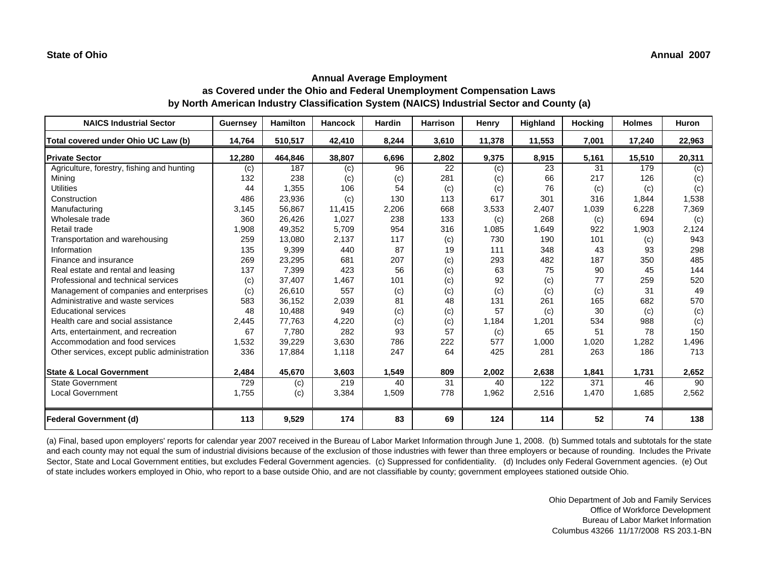| <b>NAICS Industrial Sector</b>               | Guernsey | <b>Hamilton</b> | <b>Hancock</b> | <b>Hardin</b> | <b>Harrison</b> | Henry  | Highland | <b>Hocking</b> | <b>Holmes</b> | <b>Huron</b> |
|----------------------------------------------|----------|-----------------|----------------|---------------|-----------------|--------|----------|----------------|---------------|--------------|
| Total covered under Ohio UC Law (b)          | 14,764   | 510,517         | 42,410         | 8,244         | 3,610           | 11,378 | 11,553   | 7,001          | 17,240        | 22,963       |
| <b>Private Sector</b>                        | 12,280   | 464,846         | 38,807         | 6,696         | 2,802           | 9,375  | 8,915    | 5,161          | 15,510        | 20,311       |
| Agriculture, forestry, fishing and hunting   | (c)      | 187             | (c)            | 96            | 22              | (c)    | 23       | 31             | 179           | (c)          |
| Minina                                       | 132      | 238             | (c)            | (c)           | 281             | (c)    | 66       | 217            | 126           | (c)          |
| <b>Utilities</b>                             | 44       | 1,355           | 106            | 54            | (c)             | (c)    | 76       | (c)            | (c)           | (c)          |
| Construction                                 | 486      | 23,936          | (c)            | 130           | 113             | 617    | 301      | 316            | 1,844         | 1,538        |
| Manufacturing                                | 3,145    | 56,867          | 11,415         | 2,206         | 668             | 3,533  | 2,407    | 1,039          | 6,228         | 7,369        |
| Wholesale trade                              | 360      | 26,426          | 1,027          | 238           | 133             | (c)    | 268      | (c)            | 694           | (c)          |
| Retail trade                                 | 1,908    | 49,352          | 5,709          | 954           | 316             | 1,085  | 1,649    | 922            | 1,903         | 2,124        |
| Transportation and warehousing               | 259      | 13,080          | 2,137          | 117           | (c)             | 730    | 190      | 101            | (c)           | 943          |
| Information                                  | 135      | 9,399           | 440            | 87            | 19              | 111    | 348      | 43             | 93            | 298          |
| Finance and insurance                        | 269      | 23,295          | 681            | 207           | (c)             | 293    | 482      | 187            | 350           | 485          |
| Real estate and rental and leasing           | 137      | 7,399           | 423            | 56            | (c)             | 63     | 75       | 90             | 45            | 144          |
| Professional and technical services          | (c)      | 37,407          | 1,467          | 101           | (c)             | 92     | (c)      | 77             | 259           | 520          |
| Management of companies and enterprises      | (c)      | 26,610          | 557            | (c)           | (c)             | (c)    | (c)      | (c)            | 31            | 49           |
| Administrative and waste services            | 583      | 36,152          | 2,039          | 81            | 48              | 131    | 261      | 165            | 682           | 570          |
| <b>Educational services</b>                  | 48       | 10,488          | 949            | (c)           | (c)             | 57     | (c)      | 30             | (c)           | (c)          |
| Health care and social assistance            | 2,445    | 77,763          | 4,220          | (c)           | (c)             | 1,184  | 1,201    | 534            | 988           | (c)          |
| Arts, entertainment, and recreation          | 67       | 7,780           | 282            | 93            | 57              | (c)    | 65       | 51             | 78            | 150          |
| Accommodation and food services              | 1,532    | 39,229          | 3,630          | 786           | 222             | 577    | 1,000    | 1,020          | 1,282         | 1,496        |
| Other services, except public administration | 336      | 17,884          | 1.118          | 247           | 64              | 425    | 281      | 263            | 186           | 713          |
|                                              |          |                 |                |               |                 |        |          |                |               |              |
| <b>State &amp; Local Government</b>          | 2,484    | 45,670          | 3,603          | 1,549         | 809             | 2,002  | 2,638    | 1,841          | 1,731         | 2,652        |
| <b>State Government</b>                      | 729      | (c)             | 219            | 40            | 31              | 40     | 122      | 371            | 46            | 90           |
| <b>Local Government</b>                      | 1,755    | (c)             | 3,384          | 1,509         | 778             | 1,962  | 2,516    | 1,470          | 1,685         | 2,562        |
|                                              |          |                 |                |               |                 |        |          |                |               |              |
| <b>Federal Government (d)</b>                | 113      | 9,529           | 174            | 83            | 69              | 124    | 114      | 52             | 74            | 138          |

(a) Final, based upon employers' reports for calendar year 2007 received in the Bureau of Labor Market Information through June 1, 2008. (b) Summed totals and subtotals for the state and each county may not equal the sum of industrial divisions because of the exclusion of those industries with fewer than three employers or because of rounding. Includes the Private Sector, State and Local Government entities, but excludes Federal Government agencies. (c) Suppressed for confidentiality. (d) Includes only Federal Government agencies. (e) Out of state includes workers employed in Ohio, who report to a base outside Ohio, and are not classifiable by county; government employees stationed outside Ohio.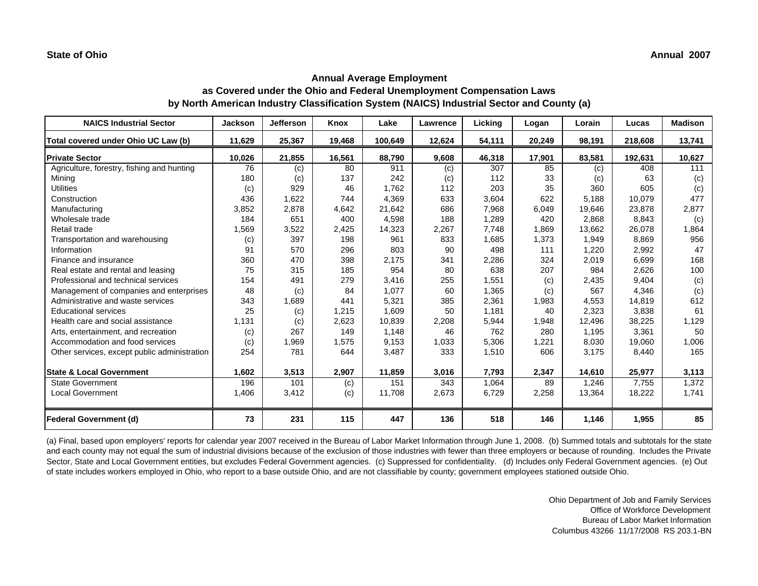| <b>NAICS Industrial Sector</b>               | <b>Jackson</b> | Jefferson | Knox   | Lake    | Lawrence | Licking | Logan  | Lorain | Lucas   | <b>Madison</b> |
|----------------------------------------------|----------------|-----------|--------|---------|----------|---------|--------|--------|---------|----------------|
| Total covered under Ohio UC Law (b)          | 11,629         | 25,367    | 19,468 | 100.649 | 12,624   | 54,111  | 20,249 | 98.191 | 218,608 | 13,741         |
| <b>Private Sector</b>                        | 10,026         | 21,855    | 16,561 | 88,790  | 9,608    | 46,318  | 17,901 | 83,581 | 192,631 | 10,627         |
| Agriculture, forestry, fishing and hunting   | 76             | (c)       | 80     | 911     | (c)      | 307     | 85     | (c)    | 408     | 111            |
| Minina                                       | 180            | (c)       | 137    | 242     | (c)      | 112     | 33     | (c)    | 63      | (c)            |
| <b>Utilities</b>                             | (c)            | 929       | 46     | 1.762   | 112      | 203     | 35     | 360    | 605     | (c)            |
| Construction                                 | 436            | 1,622     | 744    | 4,369   | 633      | 3,604   | 622    | 5.188  | 10,079  | 477            |
| Manufacturing                                | 3,852          | 2,878     | 4,642  | 21,642  | 686      | 7,968   | 6,049  | 19,646 | 23,878  | 2,877          |
| Wholesale trade                              | 184            | 651       | 400    | 4,598   | 188      | 1,289   | 420    | 2,868  | 8,843   | (c)            |
| Retail trade                                 | 1,569          | 3,522     | 2,425  | 14,323  | 2,267    | 7,748   | 1,869  | 13,662 | 26,078  | 1,864          |
| Transportation and warehousing               | (c)            | 397       | 198    | 961     | 833      | 1,685   | 1,373  | 1,949  | 8,869   | 956            |
| Information                                  | 91             | 570       | 296    | 803     | 90       | 498     | 111    | 1,220  | 2,992   | 47             |
| Finance and insurance                        | 360            | 470       | 398    | 2,175   | 341      | 2,286   | 324    | 2,019  | 6,699   | 168            |
| Real estate and rental and leasing           | 75             | 315       | 185    | 954     | 80       | 638     | 207    | 984    | 2,626   | 100            |
| Professional and technical services          | 154            | 491       | 279    | 3,416   | 255      | 1,551   | (c)    | 2,435  | 9,404   | (c)            |
| Management of companies and enterprises      | 48             | (c)       | 84     | 1,077   | 60       | 1,365   | (c)    | 567    | 4,346   | (c)            |
| Administrative and waste services            | 343            | 1,689     | 441    | 5,321   | 385      | 2,361   | 1,983  | 4,553  | 14,819  | 612            |
| <b>Educational services</b>                  | 25             | (c)       | 1,215  | 1,609   | 50       | 1,181   | 40     | 2,323  | 3,838   | 61             |
| Health care and social assistance            | 1,131          | (c)       | 2,623  | 10,839  | 2,208    | 5,944   | 1,948  | 12,496 | 38,225  | 1,129          |
| Arts, entertainment, and recreation          | (c)            | 267       | 149    | 1.148   | 46       | 762     | 280    | 1,195  | 3,361   | 50             |
| Accommodation and food services              | (c)            | 1,969     | 1,575  | 9,153   | 1,033    | 5,306   | 1,221  | 8,030  | 19,060  | 1,006          |
| Other services, except public administration | 254            | 781       | 644    | 3,487   | 333      | 1,510   | 606    | 3,175  | 8,440   | 165            |
|                                              |                |           |        |         |          |         |        |        |         |                |
| <b>State &amp; Local Government</b>          | 1,602          | 3,513     | 2,907  | 11,859  | 3,016    | 7,793   | 2,347  | 14,610 | 25,977  | 3,113          |
| <b>State Government</b>                      | 196            | 101       | (c)    | 151     | 343      | 1,064   | 89     | 1,246  | 7,755   | 1,372          |
| <b>Local Government</b>                      | 1,406          | 3,412     | (c)    | 11,708  | 2,673    | 6,729   | 2,258  | 13,364 | 18,222  | 1,741          |
|                                              |                |           |        |         |          |         |        |        |         |                |
| <b>Federal Government (d)</b>                | 73             | 231       | 115    | 447     | 136      | 518     | 146    | 1,146  | 1,955   | 85             |

(a) Final, based upon employers' reports for calendar year 2007 received in the Bureau of Labor Market Information through June 1, 2008. (b) Summed totals and subtotals for the state and each county may not equal the sum of industrial divisions because of the exclusion of those industries with fewer than three employers or because of rounding. Includes the Private Sector, State and Local Government entities, but excludes Federal Government agencies. (c) Suppressed for confidentiality. (d) Includes only Federal Government agencies. (e) Out of state includes workers employed in Ohio, who report to a base outside Ohio, and are not classifiable by county; government employees stationed outside Ohio.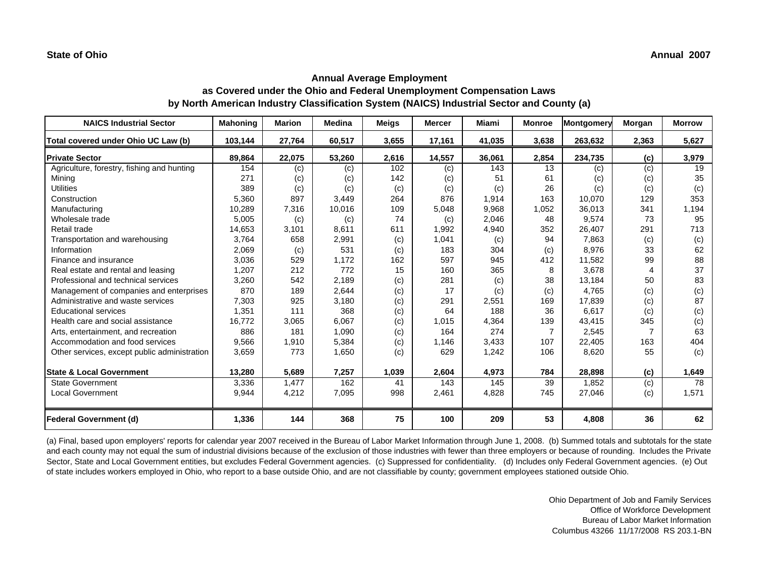| <b>NAICS Industrial Sector</b>               | <b>Mahoning</b> | <b>Marion</b> | Medina | <b>Meigs</b> | <b>Mercer</b> | Miami  | <b>Monroe</b>  | Montgomery | Morgan | <b>Morrow</b> |
|----------------------------------------------|-----------------|---------------|--------|--------------|---------------|--------|----------------|------------|--------|---------------|
| Total covered under Ohio UC Law (b)          | 103,144         | 27,764        | 60,517 | 3,655        | 17,161        | 41,035 | 3,638          | 263,632    | 2,363  | 5,627         |
| <b>Private Sector</b>                        | 89,864          | 22,075        | 53,260 | 2,616        | 14,557        | 36,061 | 2,854          | 234,735    | (c)    | 3,979         |
| Agriculture, forestry, fishing and hunting   | 154             | (c)           | (c)    | 102          | (c)           | 143    | 13             | (c)        | (c)    | 19            |
| Minina                                       | 271             | (c)           | (c)    | 142          | (c)           | 51     | 61             | (c)        | (c)    | 35            |
| <b>Utilities</b>                             | 389             | (c)           | (c)    | (c)          | (c)           | (c)    | 26             | (c)        | (c)    | (c)           |
| Construction                                 | 5,360           | 897           | 3,449  | 264          | 876           | 1,914  | 163            | 10,070     | 129    | 353           |
| Manufacturing                                | 10,289          | 7,316         | 10,016 | 109          | 5,048         | 9,968  | 1,052          | 36,013     | 341    | 1,194         |
| Wholesale trade                              | 5,005           | (c)           | (c)    | 74           | (c)           | 2,046  | 48             | 9,574      | 73     | 95            |
| Retail trade                                 | 14,653          | 3,101         | 8,611  | 611          | 1,992         | 4,940  | 352            | 26,407     | 291    | 713           |
| Transportation and warehousing               | 3,764           | 658           | 2,991  | (c)          | 1,041         | (c)    | 94             | 7,863      | (c)    | (c)           |
| Information                                  | 2,069           | (c)           | 531    | (c)          | 183           | 304    | (c)            | 8,976      | 33     | 62            |
| Finance and insurance                        | 3,036           | 529           | 1,172  | 162          | 597           | 945    | 412            | 11,582     | 99     | 88            |
| Real estate and rental and leasing           | 1,207           | 212           | 772    | 15           | 160           | 365    | 8              | 3,678      |        | 37            |
| Professional and technical services          | 3,260           | 542           | 2,189  | (c)          | 281           | (c)    | 38             | 13,184     | 50     | 83            |
| Management of companies and enterprises      | 870             | 189           | 2,644  | (c)          | 17            | (c)    | (c)            | 4,765      | (c)    | (c)           |
| Administrative and waste services            | 7,303           | 925           | 3,180  | (c)          | 291           | 2,551  | 169            | 17,839     | (c)    | 87            |
| <b>Educational services</b>                  | 1,351           | 111           | 368    | (c)          | 64            | 188    | 36             | 6,617      | (c)    | (c)           |
| Health care and social assistance            | 16,772          | 3,065         | 6,067  | (c)          | 1,015         | 4,364  | 139            | 43,415     | 345    | (c)           |
| Arts, entertainment, and recreation          | 886             | 181           | 1,090  | (c)          | 164           | 274    | $\overline{7}$ | 2,545      | 7      | 63            |
| Accommodation and food services              | 9,566           | 1,910         | 5,384  | (c)          | 1,146         | 3,433  | 107            | 22,405     | 163    | 404           |
| Other services, except public administration | 3,659           | 773           | 1,650  | (c)          | 629           | 1,242  | 106            | 8,620      | 55     | (c)           |
|                                              |                 |               |        |              |               |        |                |            |        |               |
| <b>State &amp; Local Government</b>          | 13,280          | 5,689         | 7,257  | 1,039        | 2,604         | 4,973  | 784            | 28,898     | (c)    | 1,649         |
| <b>State Government</b>                      | 3,336           | 1,477         | 162    | 41           | 143           | 145    | 39             | 1,852      | (c)    | 78            |
| <b>Local Government</b>                      | 9,944           | 4,212         | 7,095  | 998          | 2,461         | 4,828  | 745            | 27,046     | (c)    | 1,571         |
|                                              |                 |               |        |              |               |        |                |            |        |               |
| <b>Federal Government (d)</b>                | 1,336           | 144           | 368    | 75           | 100           | 209    | 53             | 4,808      | 36     | 62            |

(a) Final, based upon employers' reports for calendar year 2007 received in the Bureau of Labor Market Information through June 1, 2008. (b) Summed totals and subtotals for the state and each county may not equal the sum of industrial divisions because of the exclusion of those industries with fewer than three employers or because of rounding. Includes the Private Sector, State and Local Government entities, but excludes Federal Government agencies. (c) Suppressed for confidentiality. (d) Includes only Federal Government agencies. (e) Out of state includes workers employed in Ohio, who report to a base outside Ohio, and are not classifiable by county; government employees stationed outside Ohio.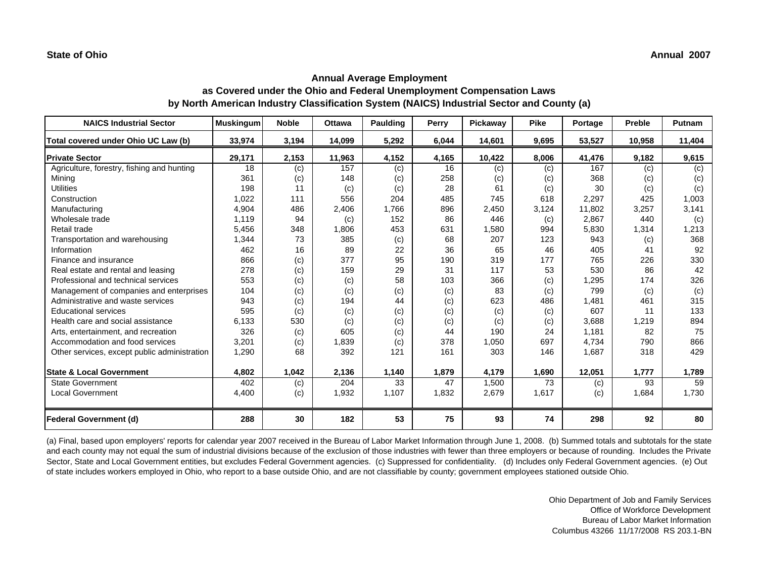| <b>NAICS Industrial Sector</b>               | <b>Muskingum</b> | <b>Noble</b> | <b>Ottawa</b> | <b>Paulding</b> | Perry | <b>Pickawav</b> | <b>Pike</b> | Portage | Preble | Putnam |
|----------------------------------------------|------------------|--------------|---------------|-----------------|-------|-----------------|-------------|---------|--------|--------|
| Total covered under Ohio UC Law (b)          | 33,974           | 3,194        | 14,099        | 5,292           | 6,044 | 14,601          | 9,695       | 53,527  | 10,958 | 11,404 |
| <b>Private Sector</b>                        | 29,171           | 2,153        | 11,963        | 4,152           | 4,165 | 10,422          | 8,006       | 41,476  | 9,182  | 9,615  |
| Agriculture, forestry, fishing and hunting   | 18               | (c)          | 157           | (c)             | 16    | (c)             | (c)         | 167     | (c)    | (c)    |
| Mining                                       | 361              | (c)          | 148           | (c)             | 258   | (c)             | (c)         | 368     | (c)    | (c)    |
| <b>Utilities</b>                             | 198              | 11           | (c)           | (c)             | 28    | 61              | (c)         | 30      | (c)    | (c)    |
| Construction                                 | 1,022            | 111          | 556           | 204             | 485   | 745             | 618         | 2,297   | 425    | 1,003  |
| Manufacturing                                | 4,904            | 486          | 2,406         | 1,766           | 896   | 2,450           | 3,124       | 11,802  | 3,257  | 3,141  |
| Wholesale trade                              | 1,119            | 94           | (c)           | 152             | 86    | 446             | (c)         | 2,867   | 440    | (c)    |
| Retail trade                                 | 5,456            | 348          | 1,806         | 453             | 631   | 1,580           | 994         | 5,830   | 1,314  | 1,213  |
| Transportation and warehousing               | 1,344            | 73           | 385           | (c)             | 68    | 207             | 123         | 943     | (c)    | 368    |
| Information                                  | 462              | 16           | 89            | 22              | 36    | 65              | 46          | 405     | 41     | 92     |
| Finance and insurance                        | 866              | (c)          | 377           | 95              | 190   | 319             | 177         | 765     | 226    | 330    |
| Real estate and rental and leasing           | 278              | (c)          | 159           | 29              | 31    | 117             | 53          | 530     | 86     | 42     |
| Professional and technical services          | 553              | (c)          | (c)           | 58              | 103   | 366             | (c)         | 1,295   | 174    | 326    |
| Management of companies and enterprises      | 104              | (c)          | (c)           | (c)             | (c)   | 83              | (c)         | 799     | (c)    | (c)    |
| Administrative and waste services            | 943              | (c)          | 194           | 44              | (c)   | 623             | 486         | 1,481   | 461    | 315    |
| <b>Educational services</b>                  | 595              | (c)          | (c)           | (c)             | (c)   | (c)             | (c)         | 607     | 11     | 133    |
| Health care and social assistance            | 6,133            | 530          | (c)           | (c)             | (c)   | (c)             | (c)         | 3,688   | 1,219  | 894    |
| Arts, entertainment, and recreation          | 326              | (c)          | 605           | (c)             | 44    | 190             | 24          | 1.181   | 82     | 75     |
| Accommodation and food services              | 3,201            | (c)          | 1,839         | (c)             | 378   | 1,050           | 697         | 4,734   | 790    | 866    |
| Other services, except public administration | 1,290            | 68           | 392           | 121             | 161   | 303             | 146         | 1,687   | 318    | 429    |
| <b>State &amp; Local Government</b>          | 4,802            | 1,042        | 2,136         | 1,140           | 1,879 | 4,179           | 1,690       | 12,051  | 1,777  | 1,789  |
| <b>State Government</b>                      | 402              | (c)          | 204           | 33              | 47    | 1,500           | 73          | (c)     | 93     | 59     |
| <b>Local Government</b>                      | 4,400            | (c)          | 1,932         | 1,107           | 1,832 | 2,679           | 1,617       | (c)     | 1,684  | 1,730  |
| <b>Federal Government (d)</b>                | 288              | 30           | 182           | 53              | 75    | 93              | 74          | 298     | 92     | 80     |

(a) Final, based upon employers' reports for calendar year 2007 received in the Bureau of Labor Market Information through June 1, 2008. (b) Summed totals and subtotals for the state and each county may not equal the sum of industrial divisions because of the exclusion of those industries with fewer than three employers or because of rounding. Includes the Private Sector, State and Local Government entities, but excludes Federal Government agencies. (c) Suppressed for confidentiality. (d) Includes only Federal Government agencies. (e) Out of state includes workers employed in Ohio, who report to a base outside Ohio, and are not classifiable by county; government employees stationed outside Ohio.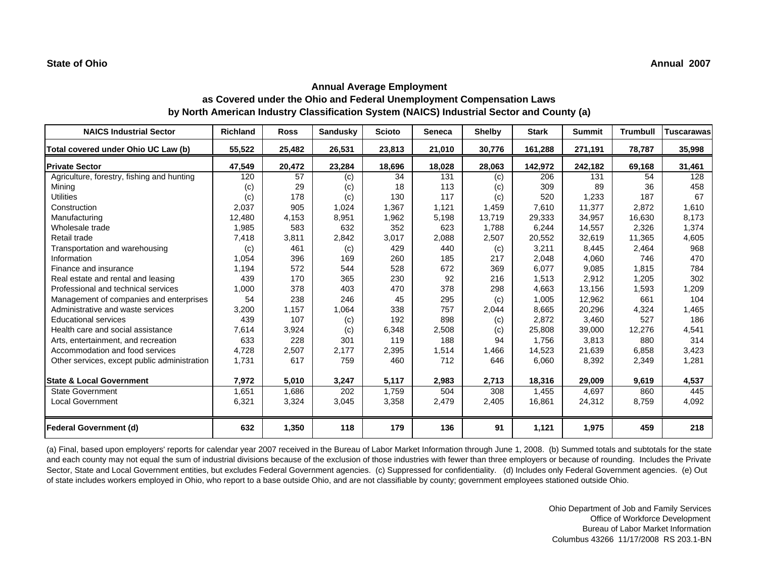| <b>NAICS Industrial Sector</b>               | <b>Richland</b> | <b>Ross</b> | Sandusky | <b>Scioto</b> | <b>Seneca</b> | <b>Shelby</b> | <b>Stark</b> | <b>Summit</b> | <b>Trumbull</b> | <b>Tuscarawas</b> |
|----------------------------------------------|-----------------|-------------|----------|---------------|---------------|---------------|--------------|---------------|-----------------|-------------------|
| Total covered under Ohio UC Law (b)          | 55,522          | 25,482      | 26,531   | 23,813        | 21,010        | 30,776        | 161,288      | 271,191       | 78,787          | 35,998            |
| <b>Private Sector</b>                        | 47,549          | 20,472      | 23,284   | 18,696        | 18,028        | 28,063        | 142,972      | 242,182       | 69,168          | 31,461            |
| Agriculture, forestry, fishing and hunting   | 120             | 57          | (c)      | 34            | 131           | (c)           | 206          | 131           | 54              | 128               |
| Mining                                       | (c)             | 29          | (c)      | 18            | 113           | (c)           | 309          | 89            | 36              | 458               |
| <b>Utilities</b>                             | (c)             | 178         | (c)      | 130           | 117           | (c)           | 520          | 1,233         | 187             | 67                |
| Construction                                 | 2,037           | 905         | 1,024    | 1,367         | 1,121         | 1,459         | 7,610        | 11,377        | 2,872           | 1,610             |
| Manufacturing                                | 12,480          | 4,153       | 8,951    | 1,962         | 5,198         | 13,719        | 29,333       | 34,957        | 16,630          | 8,173             |
| Wholesale trade                              | 1,985           | 583         | 632      | 352           | 623           | 1,788         | 6,244        | 14,557        | 2,326           | 1,374             |
| Retail trade                                 | 7,418           | 3,811       | 2,842    | 3,017         | 2,088         | 2,507         | 20,552       | 32,619        | 11,365          | 4,605             |
| Transportation and warehousing               | (c)             | 461         | (c)      | 429           | 440           | (c)           | 3,211        | 8,445         | 2,464           | 968               |
| Information                                  | 1,054           | 396         | 169      | 260           | 185           | 217           | 2,048        | 4,060         | 746             | 470               |
| Finance and insurance                        | 1,194           | 572         | 544      | 528           | 672           | 369           | 6.077        | 9,085         | 1,815           | 784               |
| Real estate and rental and leasing           | 439             | 170         | 365      | 230           | 92            | 216           | 1,513        | 2,912         | 1,205           | 302               |
| Professional and technical services          | 1,000           | 378         | 403      | 470           | 378           | 298           | 4,663        | 13,156        | 1,593           | 1,209             |
| Management of companies and enterprises      | 54              | 238         | 246      | 45            | 295           | (c)           | 1,005        | 12,962        | 661             | 104               |
| Administrative and waste services            | 3,200           | 1,157       | 1,064    | 338           | 757           | 2,044         | 8.665        | 20,296        | 4,324           | 1,465             |
| <b>Educational services</b>                  | 439             | 107         | (c)      | 192           | 898           | (c)           | 2,872        | 3,460         | 527             | 186               |
| Health care and social assistance            | 7,614           | 3,924       | (c)      | 6,348         | 2,508         | (c)           | 25,808       | 39,000        | 12,276          | 4,541             |
| Arts, entertainment, and recreation          | 633             | 228         | 301      | 119           | 188           | 94            | 1.756        | 3,813         | 880             | 314               |
| Accommodation and food services              | 4,728           | 2,507       | 2,177    | 2,395         | 1,514         | 1,466         | 14,523       | 21,639        | 6,858           | 3,423             |
| Other services, except public administration | 1,731           | 617         | 759      | 460           | 712           | 646           | 6,060        | 8,392         | 2,349           | 1,281             |
| <b>State &amp; Local Government</b>          | 7,972           | 5,010       | 3,247    | 5,117         | 2,983         | 2,713         | 18,316       | 29,009        | 9,619           | 4,537             |
| <b>State Government</b>                      | 1,651           | 1,686       | 202      | 1,759         | 504           | 308           | 1,455        | 4,697         | 860             | 445               |
| <b>Local Government</b>                      | 6,321           | 3,324       | 3,045    | 3,358         | 2,479         | 2,405         | 16,861       | 24,312        | 8,759           | 4,092             |
| Federal Government (d)                       | 632             | 1,350       | 118      | 179           | 136           | 91            | 1,121        | 1,975         | 459             | 218               |

(a) Final, based upon employers' reports for calendar year 2007 received in the Bureau of Labor Market Information through June 1, 2008. (b) Summed totals and subtotals for the state and each county may not equal the sum of industrial divisions because of the exclusion of those industries with fewer than three employers or because of rounding. Includes the Private Sector, State and Local Government entities, but excludes Federal Government agencies. (c) Suppressed for confidentiality. (d) Includes only Federal Government agencies. (e) Out of state includes workers employed in Ohio, who report to a base outside Ohio, and are not classifiable by county; government employees stationed outside Ohio.